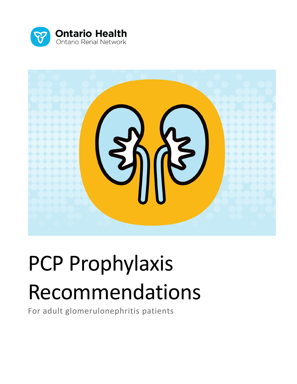



# PCP Prophylaxis Recommendations

For adult glomerulonephritis patients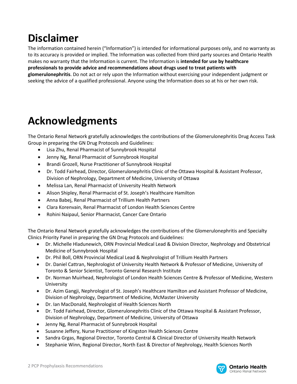# **Disclaimer**

The information contained herein ("Information") is intended for informational purposes only, and no warranty as to its accuracy is provided or implied. The Information was collected from third party sources and Ontario Health makes no warranty that the Information is current. The Information is **intended for use by healthcare professionals to provide advice and recommendations about drugs used to treat patients with glomerulonephritis**. Do not act or rely upon the Information without exercising your independent judgment or seeking the advice of a qualified professional. Anyone using the Information does so at his or her own risk.

## **Acknowledgments**

The Ontario Renal Network gratefully acknowledges the contributions of the Glomerulonephritis Drug Access Task Group in preparing the GN Drug Protocols and Guidelines:

- Lisa Zhu, Renal Pharmacist of Sunnybrook Hospital
- Jenny Ng, Renal Pharmacist of Sunnybrook Hospital
- Brandi Grozell, Nurse Practitioner of Sunnybrook Hospital
- Dr. Todd Fairhead, Director, Glomerulonephritis Clinic of the Ottawa Hospital & Assistant Professor, Division of Nephrology, Department of Medicine, University of Ottawa
- Melissa Lan, Renal Pharmacist of University Health Network
- Alison Shipley, Renal Pharmacist of St. Joseph's Healthcare Hamilton
- Anna Babej, Renal Pharmacist of Trillium Health Partners
- Clara Korenvain, Renal Pharmacist of London Health Sciences Centre
- Rohini Naipaul, Senior Pharmacist, Cancer Care Ontario

The Ontario Renal Network gratefully acknowledges the contributions of the Glomerulonephritis and Specialty Clinics Priority Panel in preparing the GN Drug Protocols and Guidelines:

- Dr. Michelle Hladunewich, ORN Provincial Medical Lead & Division Director, Nephrology and Obstetrical Medicine of Sunnybrook Hospital
- Dr. Phil Boll, ORN Provincial Medical Lead & Nephrologist of Trillium Health Partners
- Dr. Daniel Cattran, Nephrologist of University Health Network & Professor of Medicine, University of Toronto & Senior Scientist, Toronto General Research Institute
- Dr. Norman Muirhead, Nephrologist of London Health Sciences Centre & Professor of Medicine, Western University
- Dr. Azim Gangji, Nephrologist of St. Joseph's Healthcare Hamilton and Assistant Professor of Medicine, Division of Nephrology, Department of Medicine, McMaster University
- Dr. Ian MacDonald, Nephrologist of Health Sciences North
- Dr. Todd Fairhead, Director, Glomerulonephritis Clinic of the Ottawa Hospital & Assistant Professor, Division of Nephrology, Department of Medicine, University of Ottawa
- Jenny Ng, Renal Pharmacist of Sunnybrook Hospital
- Susanne Jeffery, Nurse Practitioner of Kingston Health Sciences Centre
- Sandra Grgas, Regional Director, Toronto Central & Clinical Director of University Health Network
- Stephanie Winn, Regional Director, North East & Director of Nephrology, Health Sciences North

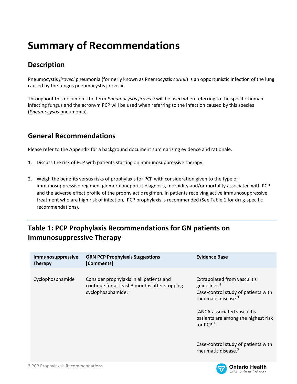## **Summary of Recommendations**

#### **Description**

Pneumocystis *jiroveci* pneumonia (formerly known as Pnemocystis *carinii*) is an opportunistic infection of the lung caused by the fungus pneumocystis jirovecii.

Throughout this document the term *Pneumocystis jirovecii* will be used when referring to the specific human infecting fungus and the acronym PCP will be used when referring to the infection caused by this species (*Pneumocystis* pneumonia).

#### **General Recommendations**

Please refer to the Appendix for a background document summarizing evidence and rationale.

- 1. Discuss the risk of PCP with patients starting on immunosuppressive therapy.
- 2. Weigh the benefits versus risks of prophylaxis for PCP with consideration given to the type of immunosuppressive regimen, glomerulonephritis diagnosis, morbidity and/or mortality associated with PCP and the adverse effect profile of the prophylactic regimen. In patients receiving active immunosuppressive treatment who are high risk of infection, PCP prophylaxis is recommended (See Table 1 for drug-specific recommendations).

#### **Table 1: PCP Prophylaxis Recommendations for GN patients on Immunosuppressive Therapy**

| Immunosuppressive<br><b>Therapy</b> | <b>ORN PCP Prophylaxis Suggestions</b><br>[Comments]                                                               | <b>Evidence Base</b>                                                                                                                                                                                        |
|-------------------------------------|--------------------------------------------------------------------------------------------------------------------|-------------------------------------------------------------------------------------------------------------------------------------------------------------------------------------------------------------|
| Cyclophosphamide                    | Consider prophylaxis in all patients and<br>continue for at least 3 months after stopping<br>cyclophosphamide. $1$ | <b>Extrapolated from vasculitis</b><br>guidelines. $2$<br>Case-control study of patients with<br>rheumatic disease. $3$<br>[ANCA-associated vasculitis<br>patients are among the highest risk<br>for $PCP2$ |
|                                     |                                                                                                                    | Case-control study of patients with<br>rheumatic disease. $3$                                                                                                                                               |

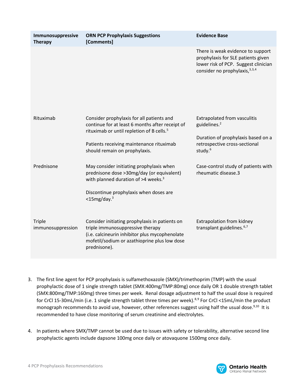| Immunosuppressive<br><b>Therapy</b> | <b>ORN PCP Prophylaxis Suggestions</b><br>[Comments]                                                                                                                                                 | <b>Evidence Base</b>                                                                                                                                |
|-------------------------------------|------------------------------------------------------------------------------------------------------------------------------------------------------------------------------------------------------|-----------------------------------------------------------------------------------------------------------------------------------------------------|
|                                     |                                                                                                                                                                                                      | There is weak evidence to support<br>prophylaxis for SLE patients given<br>lower risk of PCP. Suggest clinician<br>consider no prophylaxis, $3,3,4$ |
| Rituximab                           | Consider prophylaxis for all patients and<br>continue for at least 6 months after receipt of<br>rituximab or until repletion of B cells. <sup>5</sup>                                                | <b>Extrapolated from vasculitis</b><br>guidelines. <sup>2</sup>                                                                                     |
|                                     | Patients receiving maintenance rituximab<br>should remain on prophylaxis.                                                                                                                            | Duration of prophylaxis based on a<br>retrospective cross-sectional<br>study. <sup>6</sup>                                                          |
| Prednisone                          | May consider initiating prophylaxis when<br>prednisone dose >30mg/day (or equivalent)<br>with planned duration of $>4$ weeks. <sup>3</sup>                                                           | Case-control study of patients with<br>rheumatic disease.3                                                                                          |
|                                     | Discontinue prophylaxis when doses are<br>$<$ 15mg/day. $3$                                                                                                                                          |                                                                                                                                                     |
| <b>Triple</b><br>immunosuppression  | Consider initiating prophylaxis in patients on<br>triple immunosuppressive therapy<br>(i.e. calcineurin inhibitor plus mycophenolate<br>mofetil/sodium or azathioprine plus low dose<br>prednisone). | <b>Extrapolation from kidney</b><br>transplant guidelines. <sup>6,7</sup>                                                                           |

- 3. The first line agent for PCP prophylaxis is sulfamethoxazole (SMX)/trimethoprim (TMP) with the usual prophylactic dose of 1 single strength tablet (SMX:400mg/TMP:80mg) once daily OR 1 double strength tablet (SMX:800mg/TMP:160mg) three times per week. Renal dosage adjustment to half the usual dose is required for CrCl 15-30mL/min (i.e. 1 single strength tablet three times per week).<sup>8,[9](#page-11-8)</sup> For CrCl <15mL/min the product monograph recommends to avoid use, however, other references suggest using half the usual dose.<sup>9,10</sup> It is recommended to have close monitoring of serum creatinine and electrolytes.
- 4. In patients where SMX/TMP cannot be used due to issues with safety or tolerability, alternative second line prophylactic agents include dapsone 100mg once daily or atovaquone 1500mg once daily.

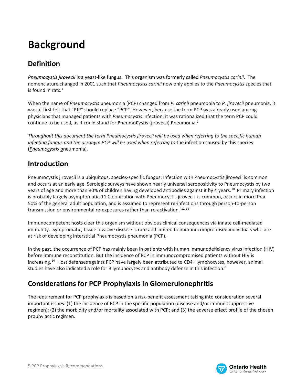## **Background**

## **Definition**

*Pneumocystis jirovecii* is a yeast-like fungus. This organism was formerly called *Pneumocystis carinii*. The nomenclature changed in 2001 such that *Pneumocystis carinii* now only applies to the *Pneumocystis* species that is found in rats.1

When the name of *Pneumocystis* pneumonia (PCP) changed from *P. carinii* pneumonia to *P. jirovecii* pneumonia, it was at first felt that "PJP" should replace "PCP". However, because the term PCP was already used among physicians that managed patients with *Pneumocystis* infection, it was rationalized that the term PCP could continue to be used, as it could stand for **P**neumo**C**ystis (jirovecii) **P**neumonia.1

*Throughout this document the term Pneumocystis jirovecii will be used when referring to the specific human infecting fungus and the acronym PCP will be used when referring to the infection caused by this species* (*Pneumocystis* pneumonia).

#### **Introduction**

Pneumocystis jirovecii is a ubiquitous, species-specific fungus. Infection with Pneumocystis jirovecii is common and occurs at an early age. Serologic surveys have shown nearly universal seropositivity to Pneumocystis by two years of age and more than 80% of children having developed antibodies against it by 4 years.<sup>[10](#page-11-9)</sup> Primary infection is probably largely asymptomatic.[11](#page-11-10) Colonization with Pneumocystis jirovecii is common, occurs in more than 50% of the general adult population, and is assumed to represent re-infections through person-to-person transmission or environmental re-exposures rather than re-activation. [12,](#page-11-11)[13](#page-11-12)

Immunocompetent hosts clear this organism without obvious clinical consequences via innate cell-mediated immunity. Symptomatic, tissue invasive disease is rare and limited to immunocompromised individuals who are at risk of developing interstitial Pneumocystis pneumonia (PCP).

In the past, the occurrence of PCP has mainly been in patients with human immunodeficiency virus infection (HIV) before immune reconstitution. But the incidence of PCP in immunocompromised patients without HIV is increasing.[14](#page-11-13) Host defenses against PCP have largely been attributed to CD4+ lymphocytes, however, animal studies have also indicated a role for B lymphocytes and antibody defense in this infection.<sup>6</sup>

## **Considerations for PCP Prophylaxis in Glomerulonephritis**

The requirement for PCP prophylaxis is based on a risk-benefit assessment taking into consideration several important issues: (1) the incidence of PCP in the specific population (disease and/or immunosuppressive regimen); (2) the morbidity and/or mortality associated with PCP; and (3) the adverse effect profile of the chosen prophylactic regimen.



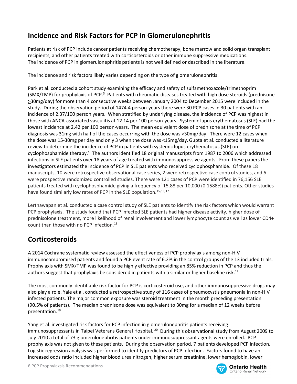## **Incidence and Risk Factors for PCP in Glomerulonephritis**

Patients at risk of PCP include cancer patients receiving chemotherapy, bone marrow and solid organ transplant recipients, and other patients treated with corticosteroids or other immune suppressive medications. The incidence of PCP in glomerulonephritis patients is not well defined or described in the literature.

The incidence and risk factors likely varies depending on the type of glomerulonephritis.

Park et al. conducted a cohort study examining the efficacy and safety of sulfamethoxazole/trimethoprim (SMX/TMP) for prophylaxis of PCP.<sup>3</sup> Patients with rheumatic diseases treated with high dose steroids (prednisone >30mg/day) for more than 4 consecutive weeks between January 2004 to December 2015 were included in the study. During the observation period of 1474.4 person-years there were 30 PCP cases in 30 patients with an incidence of 2.37/100 person years. When stratified by underlying disease, the incidence of PCP was highest in those with ANCA-associated vasculitis at 12.14 per 100 person-years. Systemic lupus erythematosus (SLE) had the lowest incidence at 2.42 per 100 person-years. The mean equivalent dose of prednisone at the time of PCP diagnosis was 31mg with half of the cases occurring with the dose was >30mg/day. There were 12 cases when the dose was 15-30mg per day and only 3 when the dose was <15mg/day.Gupta et al. conducted a literature review to determine the incidence of PCP in patients with systemic lupus erythematosus (SLE) on cyclophosphamide therapy.<sup>4</sup> The authors identified 18 original manuscripts from 1987 to 2006 which addressed infections in SLE patients over 18 years of age treated with immunosuppressive agents. From these papers the investigators estimated the incidence of PCP in SLE patients who received cyclophosphamide. Of these 18 manuscripts, 10 were retrospective observational case series, 2 were retrospective case control studies, and 6 were prospective randomized controlled studies. There were 121 cases of PCP were identified in 76,156 SLE patients treated with cyclophosphamide giving a frequency of 15.88 per 10,000 (0.1588%) patients. Other studies have found similarly low rates of PCP in the SLE population.<sup>[15](#page-11-14),[16](#page-11-15),[17](#page-11-16)</sup>

Lertnawapan et al. conducted a case control study of SLE patients to identify the risk factors which would warrant PCP prophylaxis. The study found that PCP infected SLE patients had higher disease activity, higher dose of prednisolone treatment, more likelihood of renal involvement and lower lymphocyte count as well as lower CD4+ count than those with no PCP infection.[18](#page-11-17)

#### **Corticosteroids**

A 2014 Cochrane systematic review assessed the effectiveness of PCP prophylaxis among non-HIV immunocompromised patients and found a PCP event rate of 6.2% in the control groups of the 13 included trials. Prophylaxis with SMX/TMP was found to be highly effective providing an 85% reduction in PCP and thus the authors suggest that prophylaxis be considered in patients with a similar or higher baseline risk.<sup>11</sup>

The most commonly identifiable risk factor for PCP is corticosteroid use, and other immunosuppressive drugs may also play a role. Yale et al. conducted a retrospective study of 116 cases of pneumocystis pneumonia in non-HIV infected patients. The major common exposure was steroid treatment in the month preceding presentation (90.5% of patients). The median prednisone dose was equivalent to 30mg for a median of 12 weeks before presentation.[19](#page-11-18)

Yang et al. investigated risk factors for PCP infection in glomerulonephritis patients receiving immunosuppressants in Taipei Veterans General Hospital. <sup>[20](#page-11-19)</sup> During this observational study from August 2009 to July 2010 a total of 73 glomerulonephritis patients under immunosuppressant agents were enrolled. PCP prophylaxis was not given to these patients. During the observation period, 7 patients developed PCP infection. Logistic regression analysis was performed to identify predictors of PCP infection. Factors found to have an increased odds ratio included higher blood urea nitrogen, higher serum creatinine, lower hemoglobin, lower

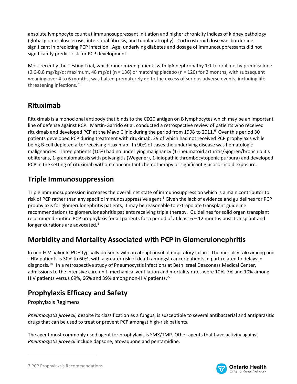absolute lymphocyte count at immunosuppressant initiation and higher chronicity indices of kidney pathology (global glomerulosclerosis, interstitial fibrosis, and tubular atrophy). Corticosteroid dose was borderline significant in predicting PCP infection. Age, underlying diabetes and dosage of immunosuppressants did not significantly predict risk for PCP development.

Most recently the Testing Trial, which randomized patients with IgA nephropathy 1:1 to oral methylprednisolone (0.6-0.8 mg/kg/d; maximum, 48 mg/d) (n = 136) or matching placebo (n = 126) for 2 months, with subsequent weaning over 4 to 6 months, was halted prematurely do to the excess of serious adverse events, including life threatening infections.<sup>[21](#page-11-20)</sup>

#### **Rituximab**

Rituximab is a monoclonal antibody that binds to the CD20 antigen on B lymphocytes which may be an important line of defense against PCP. Martin-Garrido et al. conducted a retrospective review of patients who received rituximab and developed PCP at the Mayo Clinic during the period from 1998 to 2011.<sup>6</sup> Over this period 30 patients developed PCP during treatment with rituximab, 29 of which had not received PCP prophylaxis while being B-cell depleted after receiving rituximab. In 90% of cases the underlying disease was hematologic malignancies. Three patients (10%) had no underlying malignancy (1-rheumatoid arthritis/Sjogren/bronchiolitis obliterans, 1-granulomatosis with polyangitis (Wegener), 1-idiopathic thrombocytopenic purpura) and developed PCP in the setting of rituximab without concomitant chemotherapy or significant glucocorticoid exposure.

#### **Triple Immunosuppression**

Triple immunosuppression increases the overall net state of immunosuppression which is a main contributor to risk of PCP rather than any specific immunosuppressive agent.<sup>8</sup> Given the lack of evidence and guidelines for PCP prophylaxis for glomerulonephritis patients, it may be reasonable to extrapolate transplant guideline recommendations to glomerulonephritis patients receiving triple therapy. Guidelines for solid organ transplant recommend routine PCP prophylaxis for all patients for a period of at least 6 – 12 months post-transplant and longer durations are advocated. $1$ 

#### **Morbidity and Mortality Associated with PCP in Glomerulonephritis**

In non-HIV patients PCP typically presents with an abrupt onset of respiratory failure. The mortality rate among non - HIV patients is 30% to 60%, with a greater risk of death amongst cancer patients in part related to delays in diagnosis.14 In a retrospective study of Pneumocystis infections at Beth Israel Deaconess Medical Center, admissions to the intensive care unit, mechanical ventilation and mortality rates were 10%, 7% and 10% among HIV patients versus 69%, 66% and 39% among non-HIV patients.<sup>[22](#page-11-21)</sup>

## **Prophylaxis Efficacy and Safety**

#### Prophylaxis Regimens

 $\overline{a}$ 

*Pneumocystis jirovecii,* despite its classification as a fungus, is susceptible to several antibacterial and antiparasitic drugs that can be used to treat or prevent PCP amongst high-risk patients.

The agent most commonly used agent for prophylaxis is SMX/TMP. Other agents that have activity against *Pneumocystis jirovecii* include dapsone, atovaquone and pentamidine.



<span id="page-6-0"></span><sup>7</sup> PCP Prophylaxsis Recommendations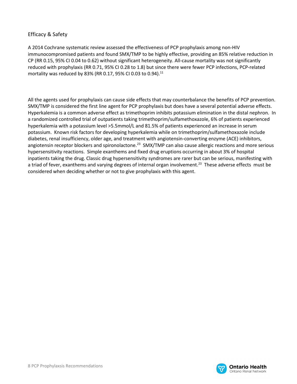#### Efficacy & Safety

A 2014 Cochrane systematic review assessed the effectiveness of PCP prophylaxis among non-HIV immunocompromised patients and found SMX/TMP to be highly effective, providing an 85% relative reduction in CP (RR 0.15, 95% CI 0.04 to 0.62) without significant heterogeneity. All-cause mortality was not significantly reduced with prophylaxis (RR 0.71, 95% CI 0.28 to 1.8) but since there were fewer PCP infections, PCP-related mortality was reduced by 83% (RR 0.17, 95% CI 0.03 to 0.94).<sup>11</sup>

All the agents used for prophylaxis can cause side effects that may counterbalance the benefits of PCP prevention. SMX/TMP is considered the first line agent for PCP prophylaxis but does have a several potential adverse effects. Hyperkalemia is a common adverse effect as trimethoprim inhibits potassium elimination in the distal nephron. In a randomized controlled trial of outpatients taking trimethoprim/sulfamethoxazole, 6% of patients experienced hyperkalemia with a potassium level >5.5mmol/L and 81.5% of patients experienced an increase in serum potassium. Known risk factors for developing hyperkalemia while on trimethoprim/sulfamethoxazole include diabetes, renal insufficiency, older age, and treatment with angiotensin-converting enzyme (ACE) inhibitors, angiotensin receptor blockers and spironolactone.<sup>23</sup> SMX/TMP can also cause allergic reactions and more serious hypersensitivity reactions. Simple exanthems and fixed drug eruptions occurring in about 3% of hospital inpatients taking the drug. Classic drug hypersensitivity syndromes are rarer but can be serious, manifesting with a triad of fever, exanthems and varying degrees of internal organ involvement.<sup>23</sup> These adverse effects must be considered when deciding whether or not to give prophylaxis with this agent.

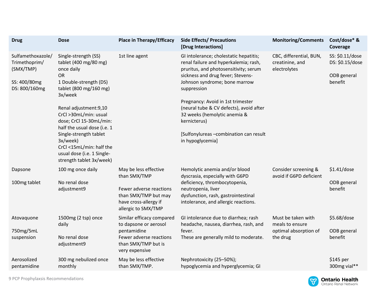| <b>Drug</b>                                                                      | <b>Dose</b>                                                                                                                                                                                                                                                                                                                                                                     | <b>Place in Therapy/Efficacy</b>                                                                | <b>Side Effects/ Precautions</b><br>[Drug Interactions]                                                                                                                                                                                                                                                                                                                                                    | <b>Monitoring/Comments</b>                                 | Cost/dose* &<br>Coverage                                     |
|----------------------------------------------------------------------------------|---------------------------------------------------------------------------------------------------------------------------------------------------------------------------------------------------------------------------------------------------------------------------------------------------------------------------------------------------------------------------------|-------------------------------------------------------------------------------------------------|------------------------------------------------------------------------------------------------------------------------------------------------------------------------------------------------------------------------------------------------------------------------------------------------------------------------------------------------------------------------------------------------------------|------------------------------------------------------------|--------------------------------------------------------------|
| Sulfamethoxazole/<br>Trimethoprim/<br>(SMX/TMP)<br>SS: 400/80mg<br>DS: 800/160mg | Single-strength (SS)<br>tablet (400 mg/80 mg)<br>once daily<br><b>OR</b><br>1 Double-strength (DS)<br>tablet (800 mg/160 mg)<br>3x/week<br>Renal adjustment:9,10<br>CrCl >30mL/min: usual<br>dose; CrCl 15-30mL/min:<br>half the usual dose (i.e. 1<br>Single-strength tablet<br>3x/week)<br>CrCl <15mL/min: half the<br>usual dose (i.e. 1 Single-<br>strength tablet 3x/week) | 1st line agent                                                                                  | GI intolerance; cholestatic hepatitis;<br>renal failure and hyperkalemia; rash,<br>pruritus, and photosensitivity; serum<br>sickness and drug fever; Stevens-<br>Johnson syndrome; bone marrow<br>suppression<br>Pregnancy: Avoid in 1st trimester<br>(neural tube & CV defects), avoid after<br>32 weeks (hemolytic anemia &<br>kernicterus)<br>[Sulfonylureas-combination can result<br>in hypoglycemia] | CBC, differential, BUN,<br>creatinine, and<br>electrolytes | SS: \$0.11/dose<br>DS: \$0.15/dose<br>ODB general<br>benefit |
| Dapsone                                                                          | 100 mg once daily                                                                                                                                                                                                                                                                                                                                                               | May be less effective<br>than SMX/TMP                                                           | Hemolytic anemia and/or blood<br>dyscrasia, especially with G6PD                                                                                                                                                                                                                                                                                                                                           | Consider screening &<br>avoid if G6PD deficient            | \$1.41/dose                                                  |
| 100mg tablet                                                                     | No renal dose<br>adjustment9                                                                                                                                                                                                                                                                                                                                                    | Fewer adverse reactions<br>than SMX/TMP but may<br>have cross-allergy if<br>allergic to SMX/TMP | deficiency, thrombocytopenia,<br>neutropenia, liver<br>dysfunction, rash, gastrointestinal<br>intolerance, and allergic reactions.                                                                                                                                                                                                                                                                         |                                                            | ODB general<br>benefit                                       |
| Atovaquone                                                                       | 1500mg (2 tsp) once<br>daily                                                                                                                                                                                                                                                                                                                                                    | Similar efficacy compared<br>to dapsone or aerosol                                              | GI intolerance due to diarrhea; rash<br>headache, nausea, diarrhea, rash, and                                                                                                                                                                                                                                                                                                                              | Must be taken with<br>meals to ensure                      | \$5.68/dose                                                  |
| 750mg/5mL<br>suspension                                                          | No renal dose<br>adjustment9                                                                                                                                                                                                                                                                                                                                                    | pentamidine<br>Fewer adverse reactions<br>than SMX/TMP but is<br>very expensive                 | fever.<br>These are generally mild to moderate.                                                                                                                                                                                                                                                                                                                                                            | optimal absorption of<br>the drug                          | ODB general<br>benefit                                       |
| Aerosolized<br>pentamidine                                                       | 300 mg nebulized once<br>monthly                                                                                                                                                                                                                                                                                                                                                | May be less effective<br>than SMX/TMP.                                                          | Nephrotoxicity (25-50%);<br>hypoglycemia and hyperglycemia; GI                                                                                                                                                                                                                                                                                                                                             |                                                            | \$145 per<br>300mg vial**                                    |

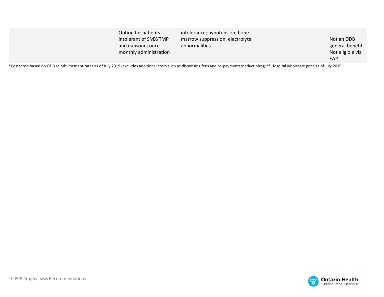| Option for patients    | intolerance; hypotension; bone  |                  |
|------------------------|---------------------------------|------------------|
| intolerant of SMX/TMP  | marrow suppression; electrolyte | Not an ODB       |
| and dapsone; once      | abnormalities                   | general benefit  |
| monthly administration |                                 | Not eligible via |
|                        |                                 | EAP              |

\*Cost/dose based on ODB reimbursement rates as of July 2019 (excludes additional costs such as dispensing fees and co-payments/deductibles); \*\* Hospital wholesale price as of July 2019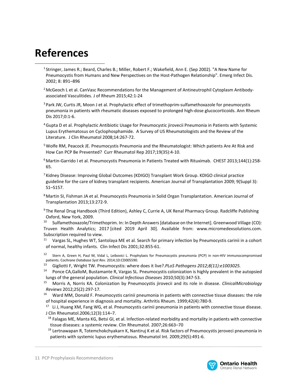## **References**

l

- <sup>1</sup> Stringer, James R.; Beard, Charles B.; Miller, Robert F.; Wakefield, Ann E. (Sep 2002). "A New Name for Pneumocystis from Humans and New Perspectives on the Host-Pathogen Relationship". Emerg Infect Dis. 2002; 8: 891–896
- <sup>2</sup> McGeoch L et al. CanVasc Recommendations for the Management of Antineutrophil Cytoplasm Antibodyassociated Vasculitides. J of Rheum 2015;42:1-24

<sup>3</sup> Park JW, Curtis JR, Moon J et al. Prophylactic effect of trimethoprim-sulfamethoxazole for pneumocystis pneumonia in patients with rheumatic diseases exposed to prolonged high-dose glucocorticoids. Ann Rheum Dis 2017;0:1-6.

4Gupta D et al. Prophylactic Antibiotic Usage for Pneumocystic jirovecii Pneumonia in Patients with Systemic Lupus Erythematosus on Cyclophosphamide. A Survey of US Rheumatologists and the Review of the Literature. J Clin Rheumatol 2008;14:267-72.

<sup>5</sup> Wolfe RM, Peacock JE. Pneumocystis Pneumonia and the Rheumatologist: Which patients Are At Risk and How Can PCP Be Prevented? Curr Rheumatol Rep 2017;19(35):4-10.

 $6$ Martin-Garrido I et al. Pneumocystis Pneumonia in Patients Treated with Rituximab. CHEST 2013;144(1):258-65.

<sup>7</sup> Kidney Disease: Improving Global Outcomes (KDIGO) Transplant Work Group. KDIGO clinical practice guideline for the care of kidney transplant recipients. American Journal of Transplantation 2009; 9(Suppl 3): S1–S157.

<sup>8</sup> Martin SI, Fishman JA et al. Pneumocystis Pneumonia in Solid Organ Transplantation. American Journal of Transplantation 2013;13:272-9.

<sup>9</sup> The Renal Drug Handbook (Third Edition), Ashley C, Currie A, UK Renal Pharmacy Group. Radcliffe Publishing Oxford, New York, 2009.

<sup>10</sup> Sulfamethoxazole/Trimethoprim. In: In Depth Answers [database on the Internet]. Greenwood Village (CO): Truven Health Analytics; 2017 [cited 2019 April 30]. Available from: www.micromedexsolutions.com. Subscription required to view.

<sup>11</sup> Vargas SL, Hughes WT, Santolaya ME et al. Search for primary infection by Pneumocystis carinii in a cohort of normal, healthy infants. Clin Infect Dis 2001;32:855-61.

<sup>12</sup> Stern A, Green H, Paul M, Vidal L, Leibovici L. Prophylaxis for Pneumocystis pneumonia (PCP) in non-HIV immunocompromised patients. C*ochrane Database Syst Rev.* 2014;10:CD005590.

<sup>13</sup> Gigliotti F, Wright TW. Pneumocystis: where does it live?.*PLoS Pathogens 2012;8(11):e1003025.*

<sup>14</sup> Ponce CA,GalloM, Bustamante R, Vargas SL. Pneumocystis colonization is highly prevalent in the autopsied lungs of the general population. *Clinical Infectious Diseases* 2010;50(3):347-53.

<sup>15</sup> Morris A, Norris KA. Colonization by Pneumocystis jirovecii and its role in disease. *ClinicalMicrobiology Reviews* 2012;25(2):297-17.

<sup>16</sup> Ward MM, Donald F. Pneumocystis carinii pneumonia in patients with connective tissue diseases: the role of hospital experience in diagnosis and mortality. Arthritis Rheum. 1999;42(4):780-9.

<sup>17</sup> Li J, Huang XM, Fang WG, et al. Pneumocystis carinii pneumonia in patients with connective tissue disease. J Clin Rheumatol.2006;12(3):114–7.

<sup>18</sup> Falagas ME, Manta KG, Betsi GI, et al. Infection-related morbidity and mortality in patients with connective tissue diseases: a systemic review. Clin Rheumatol. 2007;26:663–70

<sup>19</sup> Lertnawapan R, Totemchokchyakarn K, Nantiruj K et al. Risk factors of Pneumocystis jeroveci pneumonia in patients with systemic lupus erythematosus. Rheumatol Int. 2009;29(5):491-6.